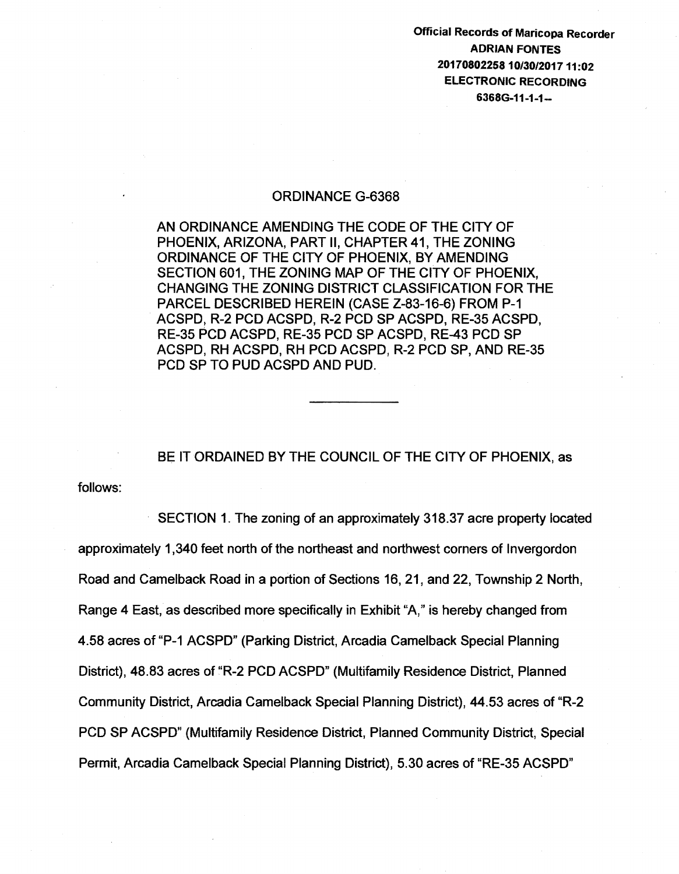Official Records of Maricopa Recorder ADRIAN FONTES 2017080225810/30/201711:02 ELECTRONIC RECORDING 6368G-11-1-1-

## ORDINANCE G-6368

AN ORDINANCE AMENDING THE CODE OF THE CITY OF PHOENIX, ARIZONA, PART II, CHAPTER 41, THE ZONING ORDINANCE OF THE CITY OF PHOENIX, BY AMENDING SECTION 601, THE ZONING MAP OF THE CITY OF PHOENIX, CHANGING THE ZONING DISTRICT CLASSIFICATION FOR THE PARCEL DESCRIBED HEREIN (CASE Z-83-16-6) FROM P-1 ACSPD, R-2 PCD ACSPD, R-2 PCD SP ACSPD, RE-35 ACSPD, RE-35 PCD ACSPD, RE-35 PCD SP ACSPD, RE-43 PCD SP ACSPD, RH ACSPD, RH PCD ACSPD, R-2 PCD SP, AND RE-35 PCD SP TO PUD ACSPD AND PUD.

BE IT ORDAINED BY THE COUNCIL OF THE CITY OF PHOENIX, as

follows:

SECTION 1. The zoning of an approximately 318.37 acre property located approximately 1 ,340 feet north of the northeast and northwest corners of lnvergordon Road and Camelback Road in a portion of Sections 16, 21, and 22, Township 2 North, Range 4 East, as described more specifically in Exhibit "A," is hereby changed from 4.58 acres of "P-1 ACSPD" {Parking District, Arcadia Camelback Special Planning District), 48.83 acres of "R-2 PCD ACSPD" (Multifamily Residence District, Planned Community District, Arcadia Camelback Special Planning District), 44.53 acres of "R-2 PCD SP ACSPD" (Multifamily Residence District, Planned Community District, Special Permit, Arcadia Camelback Special Planning District), 5.30 acres of "RE-35 ACSPD"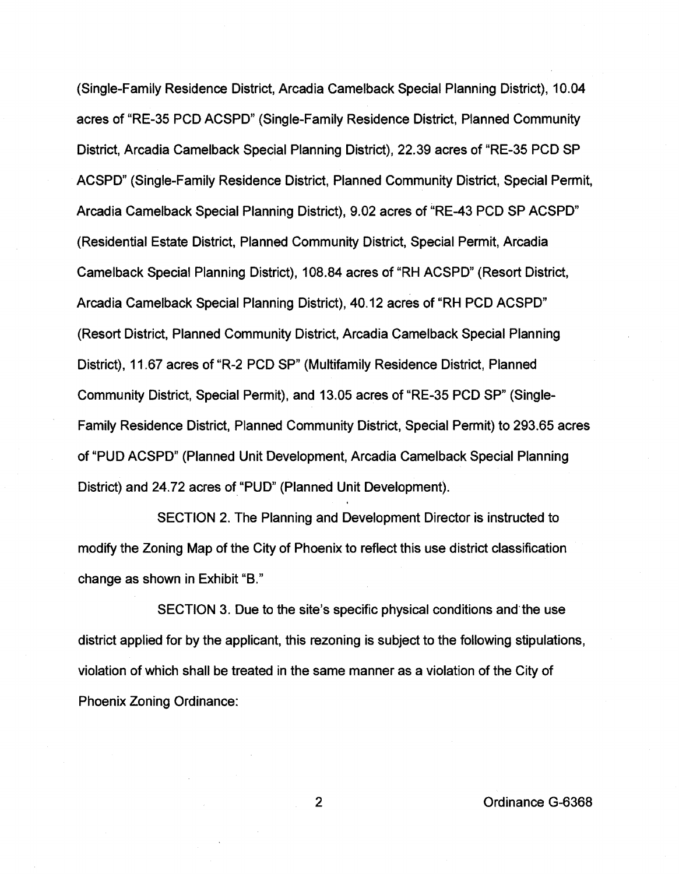(Single-Family Residence District, Arcadia Camelback Special Planning District), 10.04 acres of "RE-35 PCD ACSPD" (Single-Family Residence District, Planned Community District, Arcadia Camelback Special Planning District), 22.39 acres of "RE-35 PCD SP ACSPD" (Single-Family Residence District, Planned Community District, Special Permit, Arcadia Camelback Special Planning District), 9.02 acres of "RE-43 PCD SP ACSPD" (Residential Estate District, Planned Community District, Special Permit, Arcadia Camelback Special Planning District), 108.84 acres of "RH ACSPD" (Resort District, Arcadia Camelback Special Planning District), 40.12 acres of "RH PCD ACSPD" (Resort District, Planned Community District, Arcadia Camelback Special Planning District), 11.67 acres of "R-2 PCD SP" (Multifamily Residence District, Planned Community District, Special Permit), and 13.05 acres of "RE-35 PCD SP" (Single-Family Residence District, Planned Community District, Special Permit) to 293.65 acres of "PUD ACSPD" (Planned Unit Development, Arcadia Camelback Special Planning District) and 24.72 acres of "PUD" (Planned Unit Development).

SECTION 2. The Planning and Development Director is instructed to modify the Zoning Map of the City of Phoenix to reflect this use district classification change as shown in Exhibit "B."

SECTION 3. Due to the site's specific physical conditions and the use district applied for by the applicant, this rezoning is subject to the following stipulations, violation of which shall be treated in the same manner as a violation of the City of Phoenix Zoning Ordinance:

2 Ordinance G-6368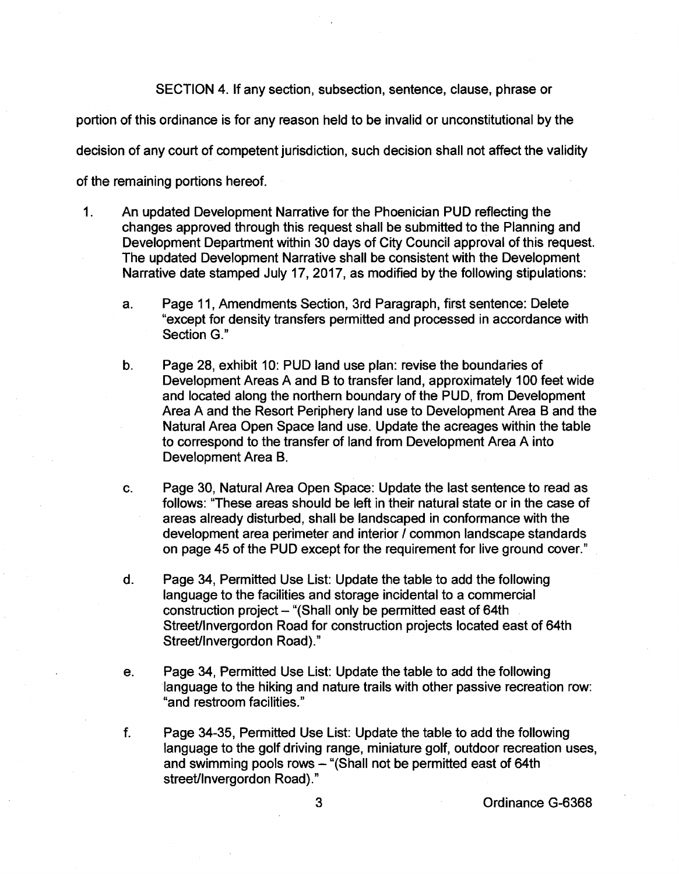SECTION 4. If any section, subsection, sentence, clause, phrase or

portion of this ordinance is for any reason held to be invalid or unconstitutional by the

decision of any court of competent jurisdiction, such decision shall not affect the validity

of the remaining portions hereof.

- 1. An updated Development Narrative for the Phoenician PUD reflecting the changes approved through this request shall be submitted to the Planning and Development Department within 30 days of City Council approval of this request. The updated Development Narrative shall be consistent with the Development Narrative date stamped July 17, 2017, as modified by the following stipulations:
	- a. Page 11, Amendments Section, 3rd Paragraph, first sentence: Delete "except for density transfers permitted and processed in accordance with Section G."
	- b. Page 28, exhibit 10: PUD land use plan: revise the boundaries of Development Areas A and B to transfer land, approximately 100 feet wide and located along the northern boundary of the PUD, from Development Area A and the Resort Periphery land use to Development Area Band the Natural Area Open Space land use. Update the acreages within the table to correspond to the transfer of land from Development Area A into Development Area B.
	- c. Page 30, Natural Area Open Space: Update the last sentence to read as follows: "These areas should be left in their natural state or in the case of areas already disturbed, shall be landscaped in conformance with the development area perimeter and interior / common landscape standards on page 45 of the PUD except for the requirement for live ground cover."
	- d. Page 34, Permitted Use List: Update the table to add the following language to the facilities and storage incidental to a commercial construction project - "(Shall only be permitted east of 64th Street/lnvergordon Road for construction projects located east of 64th Street/lnvergordon Road)."
	- e. Page 34, Permitted Use List: Update the table to add the following language to the hiking and nature trails with other passive recreation row: "and restroom facilities."
	- f. Page 34-35, Permitted Use List: Update the table to add the following language to the golf driving range, miniature golf, outdoor recreation uses, and swimming pools rows - "(Shall not be permitted east of 64th street/lnvergordon Road)."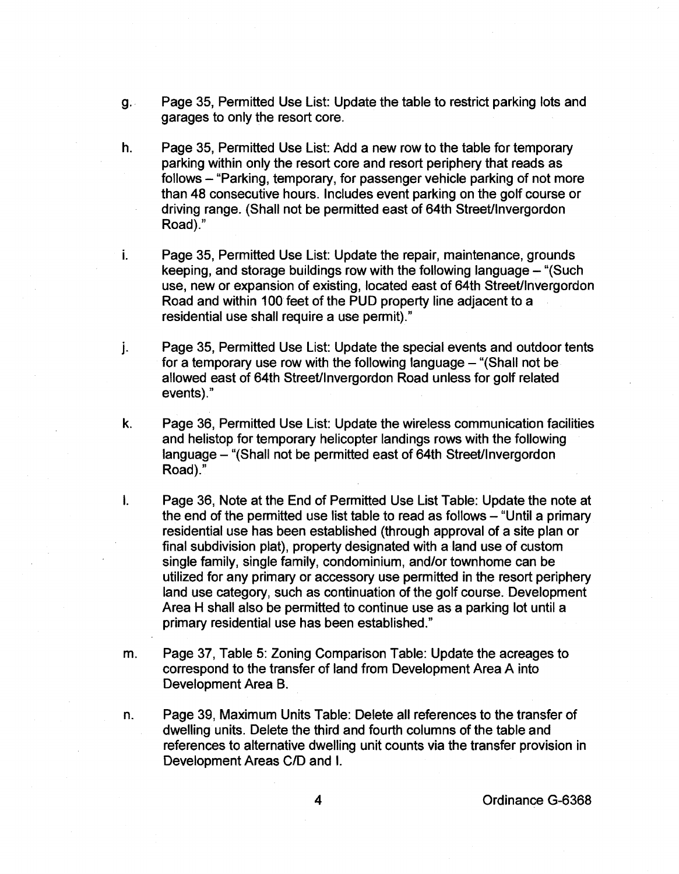- g.. Page 35, Permitted Use List: Update the table to restrict parking lots and garages to only the resort core.
- h. Page 35, Permitted Use List: Add a new row to the table for temporary parking within only the resort core and resort periphery that reads as follows – "Parking, temporary, for passenger vehicle parking of not more than 48 consecutive hours. Includes event parking on the golf course or driving range. (Shall not be permitted east of 64th Street/lnvergordon Road)."
- i. Page 35, Permitted Use List: Update the repair, maintenance, grounds keeping, and storage buildings row with the following language- "(Such use, new or expansion of existing, located east of 64th Street/lnvergordon Road and within 100 feet of the PUD property line adjacent to a residential use shall require a use permit)."
- j. Page 35, Permitted Use List: Update the special events and outdoor tents for a temporary use row with the following language  $-$  "(Shall not be allowed east of 64th Street/lnvergordon Road unless for golf related events)."
- k. Page 36, Permitted Use List: Update the wireless communication facilities and helistop for temporary helicopter landings rows with the following language- "(Shall not be permitted east of 64th Street/lnvergordon Road)."
- I. Page 36, Note at the End of Permitted Use List Table: Update the note at the end of the permitted use list table to read as follows – "Until a primary" residential use has been established (through approval of a site plan or final subdivision plat), property designated with a land use of custom single family, single family, condominium, and/or townhome can be utilized for any primary or accessory use permitted in the resort periphery land use category, such as continuation of the golf course. Development Area H shall also be permitted to continue use as a parking lot until a primary residential use has been established."
- m. Page 37, Table 5: Zoning Comparison Table: Update the acreages to correspond to the transfer of land from Development Area A into Development Area B.
- n. Page 39, Maximum Units Table: Delete all references to the transfer of dwelling units. Delete the third and fourth columns of the table and references to alternative dwelling unit counts via the transfer provision in Development Areas C/D and I.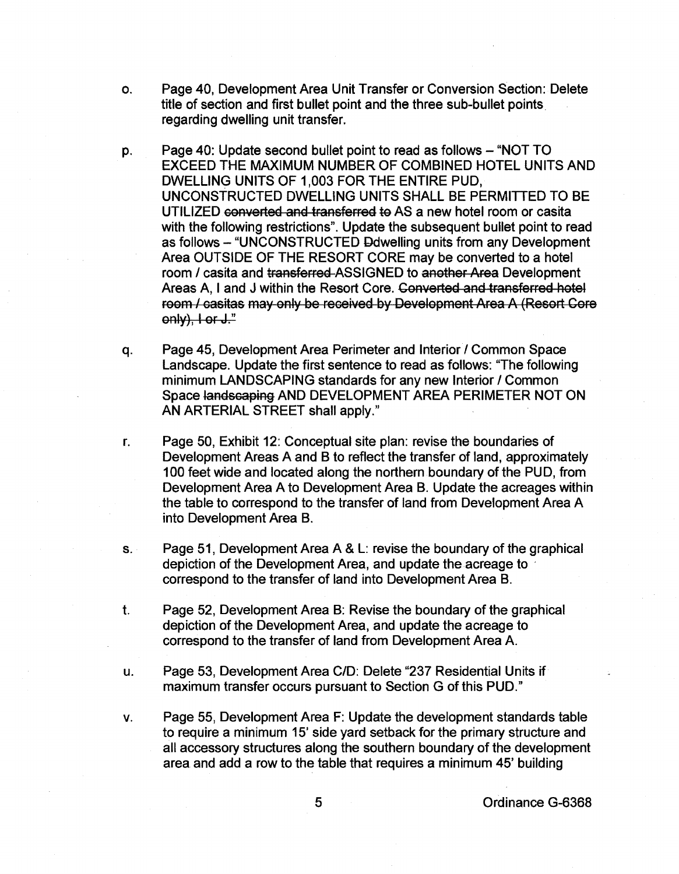- o. Page 40, Development Area Unit Transfer or Conversion Section: Delete title of section and first bullet point and the three sub-bullet points. regarding dwelling unit transfer.
- p. Page 40: Update second bullet point to read as follows "NOT TO EXCEED THE MAXIMUM NUMBER OF COMBINED HOTEL UNITS AND DWELLING UNITS OF 1 ,003 FOR THE ENTIRE PUD, UNCONSTRUCTED DWELLING UNITS SHALL BE PERMITTED TO BE UTILIZED converted and transferred to AS a new hotel room or casita with the following restrictions". Update the subsequent bullet point to read as follows - "UNCONSTRUCTED Ddwelling units from any Development Area OUTSIDE OF THE RESORT CORE may be converted to a hotel room / casita and transferred-ASSIGNED to another Area Development Areas A, I and J within the Resort Core. Converted and transferred hotel room / casitas may only be received by Development Area A (Resort Core only), I or J."
- q. Page 45, Development Area Perimeter and Interior/ Common Space Landscape. Update the first sentence to read as follows: "The following minimum LANDSCAPING standards for any new Interior / Common Space landscaping AND DEVELOPMENT AREA PERIMETER NOT ON AN ARTERIAL STREET shall apply."
- r. Page 50, Exhibit 12: Conceptual site plan: revise the boundaries of Development Areas A and B to reflect the transfer of land, approximately 100 feet wide and located along the northern boundary of the PUD, from Development Area A to Development Area B. Update the acreages within the table to correspond to the transfer of land from Development Area A into Development Area B.
- s. Page 51, Development Area A & L: revise the boundary of the graphical depiction of the Development Area, and update the acreage to · correspond to the transfer of land into Development Area B.
- t. Page 52, Development Area B: Revise the boundary of the graphical depiction of the Development Area, and update the acreage to correspond to the transfer of land from Development Area A.
- u. Page 53, Development Area C/D: Delete "237 Residential Units if maximum transfer occurs pursuant to Section G of this PUD."
- v. Page 55, Development Area F: Update the development standards table to require a minimum 15' side yard setback for the primary structure and all accessory structures along the southern boundary of the development area and add a row to the table that requires a minimum 45' building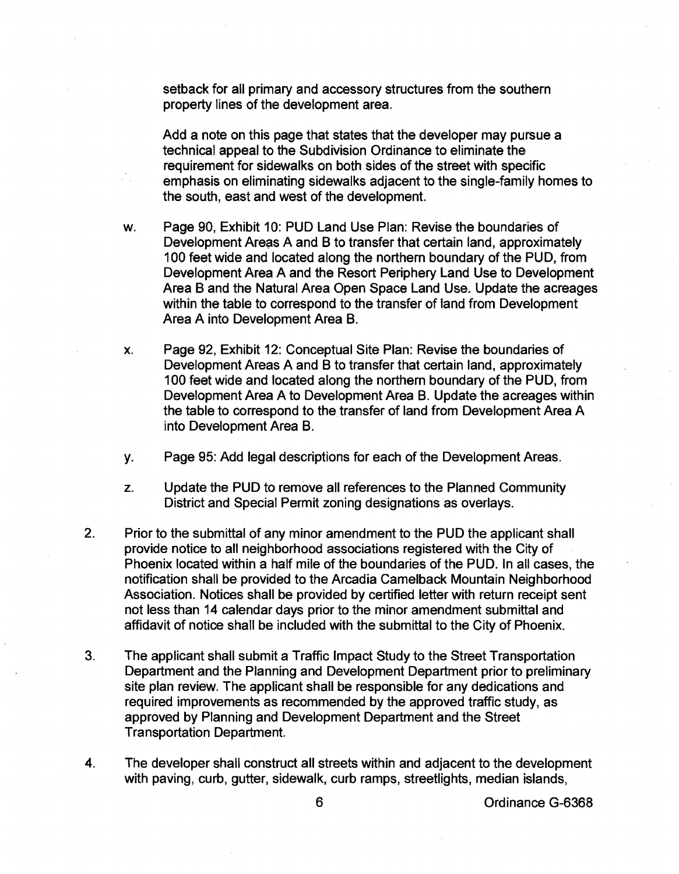setback for all primary and accessory structures from the southern property lines of the development area.

Add a note on this page that states that the developer may pursue a technical appeal to the Subdivision Ordinance to eliminate the requirement for sidewalks on both sides of the street with specific emphasis on eliminating sidewalks adjacent to the single-family homes to the south, east and west of the development.

- w. Page 90, Exhibit 10: PUD Land Use Plan: Revise the boundaries of Development Areas A and B to transfer that certain land, approximately 100 feet wide and located along the northern boundary of the PUD, from Development Area A and the Resort Periphery Land Use to Development Area B and the Natural Area Open Space Land Use. Update the acreages within the table to correspond to the transfer of land from Development Area A into Development Area B.
- x. Page 92, Exhibit 12: Conceptual Site Plan: Revise the boundaries of Development Areas A and B to transfer that certain land, approximately 100 feet wide and located along the northern boundary of the PUD, from Development Area A to Development Area B. Update the acreages within the table to correspond to the transfer of land from Development Area A into Development Area B.
- y. Page 95: Add legal descriptions for each of the Development Areas.
- z. Update the PUD to remove all references to the Planned Community District and Special Permit zoning designations as overlays.
- 2. Prior to the submittal of any minor amendment to the PUD the applicant shall provide notice to all neighborhood associations registered with the City of Phoenix located within a half mile of the boundaries of the PUD. In all cases, the notification shall be provided to the Arcadia Camelback Mountain Neighborhood Association. Notices shall be provided by certified letter with return receipt sent not less than 14 calendar days prior to the minor amendment submittal and affidavit of notice shall be included with the submittal to the City of Phoenix.
- 3. The applicant shall submit a Traffic Impact Study to the Street Transportation Department and the Planning and Development Department prior to preliminary site plan review. The applicant shall be responsible for any dedications and required improvements as recommended by the approved traffic study, as approved by Planning and Development Department and the Street Transportation Department.
- 4. The developer shall construct all streets within and adjacent to the development with paving, curb, gutter, sidewalk, curb ramps, streetlights, median islands,

6 Ordinance G-6368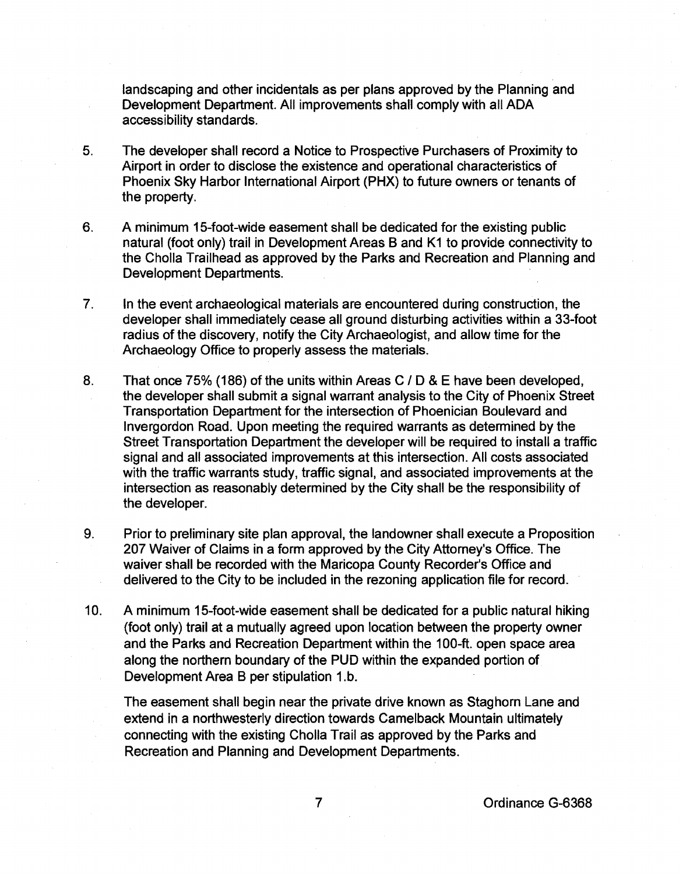landscaping and other incidentals as per plans approved by the Planning and Development Department. All improvements shall comply with all ADA accessibility standards.

- 5. The developer shall record a Notice to Prospective Purchasers of Proximity to Airport in order to disclose the existence and operational characteristics of Phoenix Sky Harbor International Airport (PHX) to future owners or tenants of the property.
- 6. A minimum 15-foot-wide easement shall be dedicated for the existing public natural (foot only) trail in Development Areas Band K1 to provide connectivity to the Cholla Trailhead as approved by the Parks and Recreation and Planning and Development Departments.
- 7. In the event archaeological materials are encountered during construction, the developer shall immediately cease all ground disturbing activities within a 33-foot radius of the discovery, notify the City Archaeologist, and allow time for the Archaeology Office to properly assess the materials.
- 8. That once 75% (186) of the units within Areas C / D & E have been developed, the developer shall submit a signal warrant analysis to the City of Phoenix Street Transportation Department for the intersection of Phoenician Boulevard and lnvergordon Road. Upon meeting the required warrants as determined by the Street Transportation Department the developer will be required to install a traffic signal and all associated improvements at this intersection. All costs associated with the traffic warrants study, traffic signal, and associated improvements at the intersection as reasonably determined by the City shall be the responsibility of the developer.
- 9. Prior to preliminary site plan approval, the landowner shall execute a Proposition 207 Waiver of Claims in a form approved by the City Attorney's Office. The waiver shall be recorded with the Maricopa County Recorder's Office and delivered to the City to be included in the rezoning application file for record.
- 10. A minimum 15-foot-wide easement shall be dedicated for a public natural hiking (foot only) trail at a mutually agreed upon location between the property owner and the Parks and Recreation Department within the 100-ft. open space area along the northern boundary of the PUD within the expanded portion of Development Area B per stipulation 1.b.

The easement shall begin near the private drive known as Staghorn Lane and extend in a northwesterly direction towards Camelback Mountain ultimately connecting with the existing Cholla Trail as approved by the Parks and Recreation and Planning and Development Departments.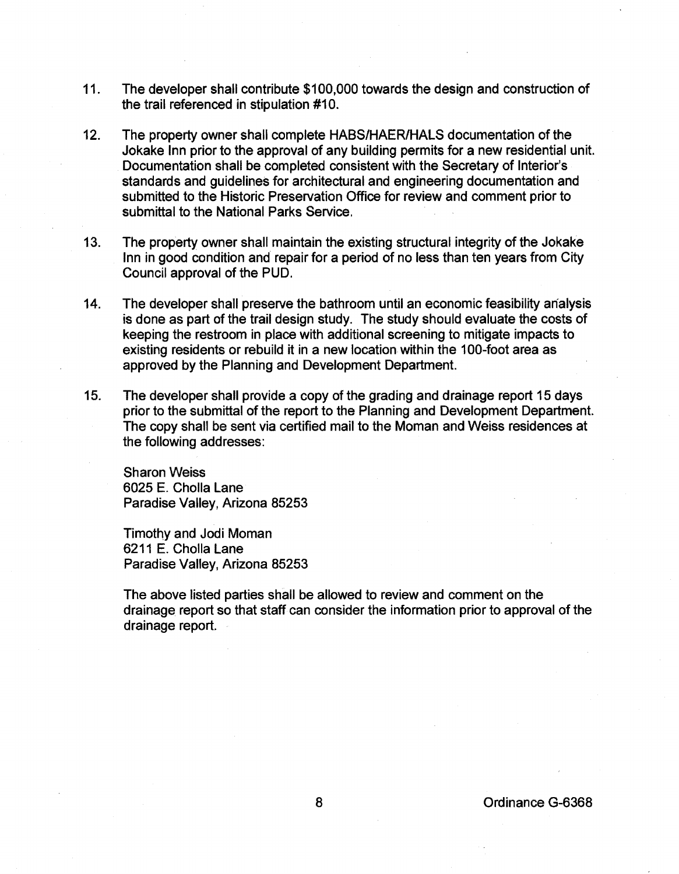- 11. The developer shall contribute \$100,000 towards the design and construction of the trail referenced in stipulation #10.
- 12. The property owner shall complete HABS/HAER/HAlS documentation of the Jokake Inn prior to the approval of any building permits for a new residential unit. Documentation shall be completed consistent with the Secretary of Interior's standards and guidelines for architectural and engineering documentation and submitted to the Historic Preservation Office for review and comment prior to submittal to the National Parks Service.
- 13. The property owner shall maintain the existing structural integrity of the Jokake Inn in good condition and repair for a period of no less than ten years from City Council approval of the PUD.
- 14. The developer shall preserve the bathroom until an economic feasibility analysis is done as part of the trail design study. The study should evaluate the costs of keeping the restroom in place with additional screening to mitigate impacts to existing residents or rebuild it in a new location within the 100-foot area as approved by the Planning and Development Department.
- 15. The developer shall provide a copy of the grading and drainage report 15 days prior to the submittal of the report to the Planning and Development Department. The copy shall be sent via certified mail to the Moman and Weiss residences at the following addresses:

Sharon Weiss 6025 E. Cholla lane Paradise Valley, Arizona 85253

Timothy and Jodi Moman 6211 E. Cholla Lane Paradise Valley, Arizona 85253

The above listed parties shall be allowed to review and comment on the drainage report so that staff can consider the information prior to approval of the drainage report.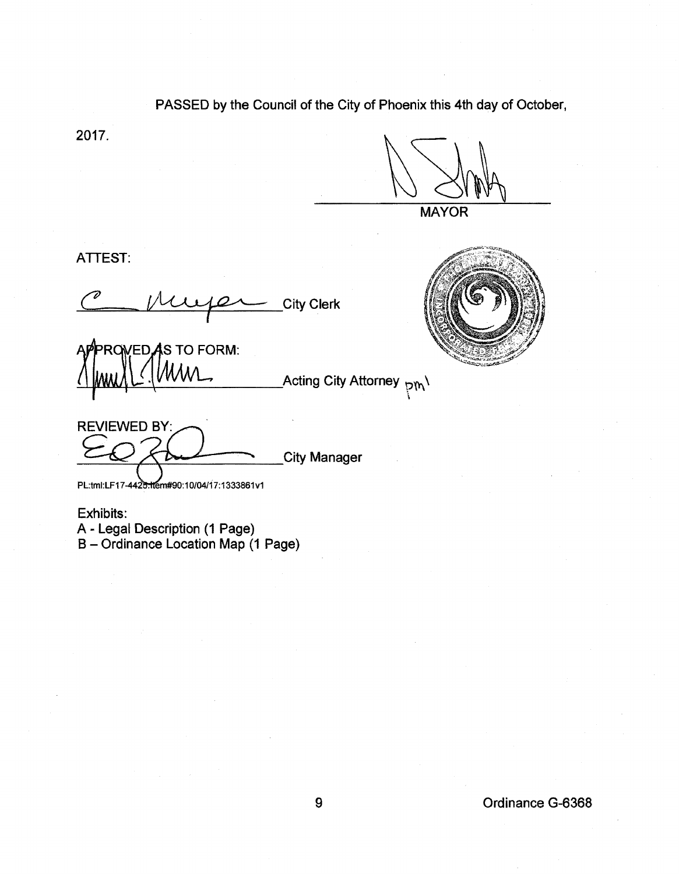PASSED by the Council of the City of Phoenix this 4th day of October,

2017.

**MAYOR** 

 $\ddot{\phantom{0}}$ 

ATTEST:

ATTEST:<br>C<u>eptimes</u> City Clerk

**ED AS TO FORM:**  $\frac{1}{2}$  MMM  $\sum_{i=1}^N$  .  $\frac{1}{2}$  of  $\sum_{i=1}^N$  . Acting City Attorney  $\frac{1}{2}$ 

REVIEWED BY: City Manager

PL:tml:LF17-4425:10m#90:10/04/17:1333861v1

Exhibits:

A- Legal Description (1 Page)

B- Ordinance Location Map (1 Page)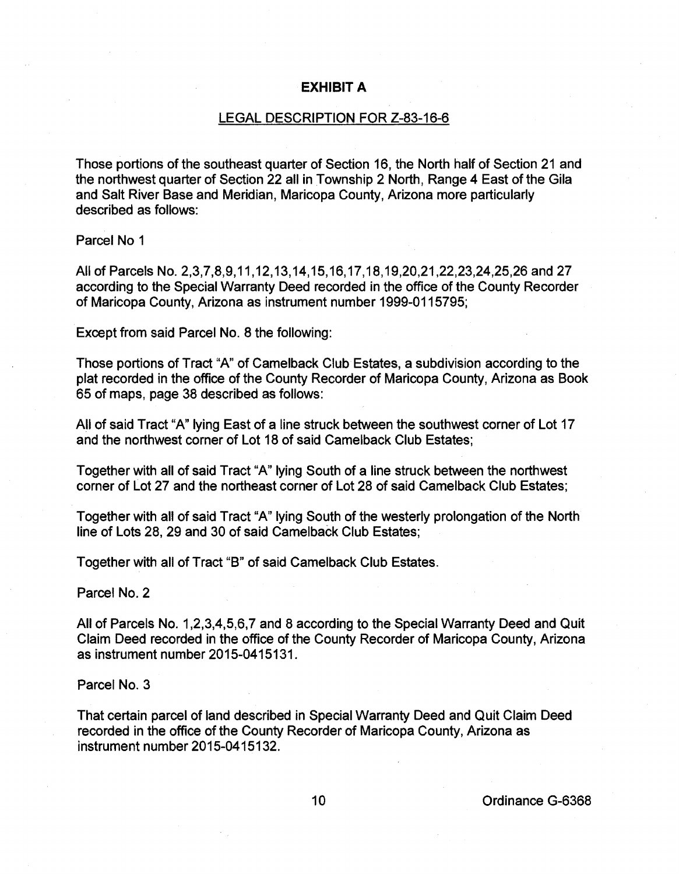## EXHIBIT A

## LEGAL DESCRIPTION FOR Z-83-16-6

Those portions of the southeast quarter of Section 16, the North half of Section 21 and the northwest quarter of Section 22 all in Township 2 North, Range 4 East of the Gila and Salt River Base and Meridian, Maricopa County, Arizona more particularly described as follows:

Parcel No 1

All of Parcels No. 2,3,7,8,9,11,12,13,14,15,16,17,18,19,20,21,22,23,24,25,26 and 27 according to the Special Warranty Deed recorded in the office of the County Recorder of Maricopa County, Arizona as instrument number 1999-0115795;

Except from said Parcel No. 8 the following:

Those portions of Tract "A" of Camelback Club Estates, a subdivision according to the plat recorded in the office of the County Recorder of Maricopa County, Arizona as Book 65 of maps, page 38 described as follows:

All of said Tract "A" lying East of a line struck between the southwest corner of Lot 17 and the northwest corner of Lot 18 of said Camelback Club Estates;

Together with all of said Tract "A" lying South of a line struck between the northwest corner of Lot 27 and the northeast corner of Lot 28 of said Camelback Club Estates;

Together with all of said Tract "A" lying South of the westerly prolongation of the North line of Lots 28, 29 and 30 of said Camelback Club Estates;

Together with all of Tract "B" of said Camelback Club Estates.

Parcel No.2

All of Parcels No. 1,2,3,4,5,6,7 and 8 according to the Special Warranty Deed and Quit Claim Deed recorded in the office of the County Recorder of Maricopa County, Arizona as instrument number 2015-0415131.

Parcel No.3

That certain parcel of land described in Special Warranty Deed and Quit Claim Deed recorded in the office of the County Recorder of Maricopa County, Arizona as instrument number 2015-0415132.